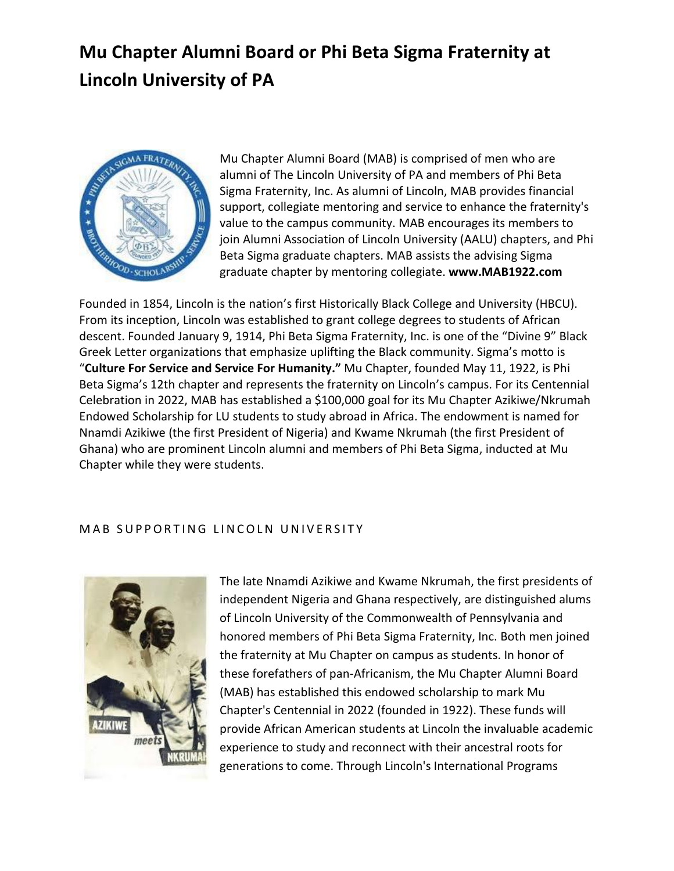## **Mu Chapter Alumni Board or Phi Beta Sigma Fraternity at Lincoln University of PA**



Mu Chapter Alumni Board (MAB) is comprised of men who are alumni of The Lincoln University of PA and members of Phi Beta Sigma Fraternity, Inc. As alumni of Lincoln, MAB provides financial support, collegiate mentoring and service to enhance the fraternity's value to the campus community. MAB encourages its members to join Alumni Association of Lincoln University (AALU) chapters, and Phi Beta Sigma graduate chapters. MAB assists the advising Sigma graduate chapter by mentoring collegiate. **www.MAB1922.com**

Founded in 1854, Lincoln is the nation's first Historically Black College and University (HBCU). From its inception, Lincoln was established to grant college degrees to students of African descent. Founded January 9, 1914, Phi Beta Sigma Fraternity, Inc. is one of the "Divine 9" Black Greek Letter organizations that emphasize uplifting the Black community. Sigma's motto is "**Culture For Service and Service For Humanity."** Mu Chapter, founded May 11, 1922, is Phi Beta Sigma's 12th chapter and represents the fraternity on Lincoln's campus. For its Centennial Celebration in 2022, MAB has established a \$100,000 goal for its Mu Chapter Azikiwe/Nkrumah Endowed Scholarship for LU students to study abroad in Africa. The endowment is named for Nnamdi Azikiwe (the first President of Nigeria) and Kwame Nkrumah (the first President of Ghana) who are prominent Lincoln alumni and members of Phi Beta Sigma, inducted at Mu Chapter while they were students.

## MAB SUPPORTING LINCOLN UNIVERSITY



The late Nnamdi Azikiwe and Kwame Nkrumah, the first presidents of independent Nigeria and Ghana respectively, are distinguished alums of Lincoln University of the Commonwealth of Pennsylvania and honored members of Phi Beta Sigma Fraternity, Inc. Both men joined the fraternity at Mu Chapter on campus as students. In honor of these forefathers of pan-Africanism, the Mu Chapter Alumni Board (MAB) has established this endowed scholarship to mark Mu Chapter's Centennial in 2022 (founded in 1922). These funds will provide African American students at Lincoln the invaluable academic experience to study and reconnect with their ancestral roots for generations to come. Through Lincoln's International Programs